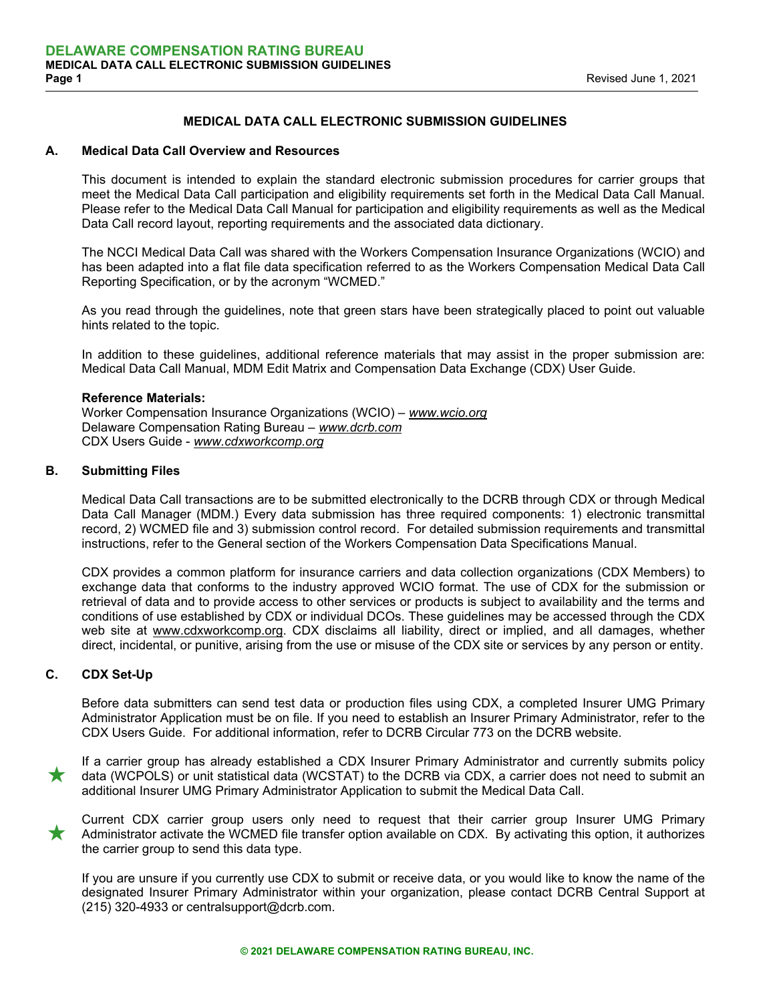# **MEDICAL DATA CALL ELECTRONIC SUBMISSION GUIDELINES**

# **A. Medical Data Call Overview and Resources**

 This document is intended to explain the standard electronic submission procedures for carrier groups that meet the Medical Data Call participation and eligibility requirements set forth in the Medical Data Call Manual. Please refer to the Medical Data Call Manual for participation and eligibility requirements as well as the Medical Data Call record layout, reporting requirements and the associated data dictionary.

 The NCCI Medical Data Call was shared with the Workers Compensation Insurance Organizations (WCIO) and has been adapted into a flat file data specification referred to as the Workers Compensation Medical Data Call Reporting Specification, or by the acronym "WCMED."

 As you read through the guidelines, note that green stars have been strategically placed to point out valuable hints related to the topic.

 In addition to these guidelines, additional reference materials that may assist in the proper submission are: Medical Data Call Manual, MDM Edit Matrix and Compensation Data Exchange (CDX) User Guide.

# **Reference Materials:**

Worker Compensation Insurance Organizations (WCIO) – *www.wcio.org*  Delaware Compensation Rating Bureau – *www.dcrb.com* CDX Users Guide - *www.cdxworkcomp.org*

# **B. Submitting Files**

 Medical Data Call transactions are to be submitted electronically to the DCRB through CDX or through Medical Data Call Manager (MDM.) Every data submission has three required components: 1) electronic transmittal record, 2) WCMED file and 3) submission control record. For detailed submission requirements and transmittal instructions, refer to the General section of the Workers Compensation Data Specifications Manual.

 CDX provides a common platform for insurance carriers and data collection organizations (CDX Members) to exchange data that conforms to the industry approved WCIO format. The use of CDX for the submission or retrieval of data and to provide access to other services or products is subject to availability and the terms and conditions of use established by CDX or individual DCOs. These guidelines may be accessed through the CDX web site at www.cdxworkcomp.org. CDX disclaims all liability, direct or implied, and all damages, whether direct, incidental, or punitive, arising from the use or misuse of the CDX site or services by any person or entity.

# **C. CDX Set-Up**

 Before data submitters can send test data or production files using CDX, a completed Insurer UMG Primary Administrator Application must be on file. If you need to establish an Insurer Primary Administrator, refer to the CDX Users Guide. For additional information, refer to DCRB Circular 773 on the DCRB website.

If a carrier group has already established a CDX Insurer Primary Administrator and currently submits policy<br>data (WCPOLS) or unit statistical data (WCSTAT) to the DCRB via CDX, a carrier does not need to submit an<br>addition additional Insurer UMG Primary Administrator Application to submit the Medical Data Call.

 Current CDX carrier group users only need to request that their carrier group Insurer UMG Primary Administrator activate the WCMED file transfer option available on CDX. By activating this option, it authorizes the carrier group to send this data type.

 If you are unsure if you currently use CDX to submit or receive data, or you would like to know the name of the designated Insurer Primary Administrator within your organization, please contact DCRB Central Support at (215) 320-4933 or centralsupport@dcrb.com.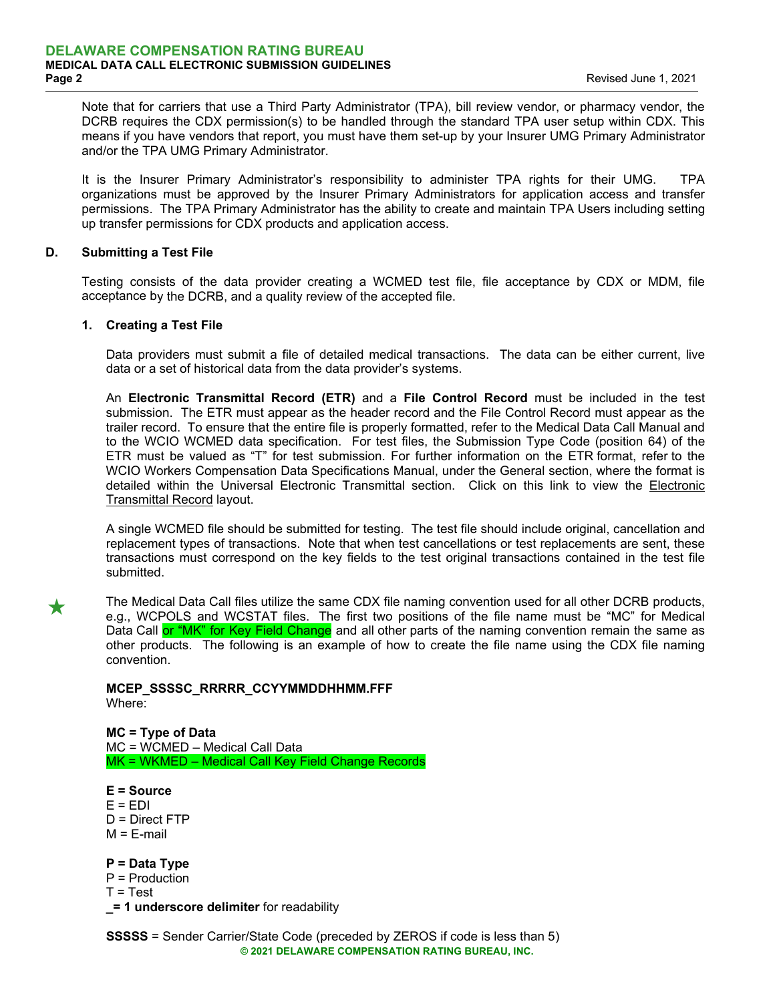Note that for carriers that use a Third Party Administrator (TPA), bill review vendor, or pharmacy vendor, the DCRB requires the CDX permission(s) to be handled through the standard TPA user setup within CDX. This means if you have vendors that report, you must have them set-up by your Insurer UMG Primary Administrator and/or the TPA UMG Primary Administrator.

 It is the Insurer Primary Administrator's responsibility to administer TPA rights for their UMG. TPA organizations must be approved by the Insurer Primary Administrators for application access and transfer permissions. The TPA Primary Administrator has the ability to create and maintain TPA Users including setting up transfer permissions for CDX products and application access.

# **D. Submitting a Test File**

 Testing consists of the data provider creating a WCMED test file, file acceptance by CDX or MDM, file acceptance by the DCRB, and a quality review of the accepted file.

# **1. Creating a Test File**

 Data providers must submit a file of detailed medical transactions. The data can be either current, live data or a set of historical data from the data provider's systems.

 An **Electronic Transmittal Record (ETR)** and a **File Control Record** must be included in the test submission. The ETR must appear as the header record and the File Control Record must appear as the trailer record. To ensure that the entire file is properly formatted, refer to the Medical Data Call Manual and to the WCIO WCMED data specification. For test files, the Submission Type Code (position 64) of the ETR must be valued as "T" for test submission. For further information on the ETR format, refer to the WCIO Workers Compensation Data Specifications Manual, under the General section, where the format is detailed within the Universal [Electronic](https://www.wcio.org/Active%20DSM/GENERAL.pdf#page=23) Transmittal section. Click on this link to view the Electronic Transmittal Record layout.

 A single WCMED file should be submitted for testing. The test file should include original, cancellation and replacement types of transactions. Note that when test cancellations or test replacements are sent, these transactions must correspond on the key fields to the test original transactions contained in the test file submitted.

The Medical Data Call files utilize the same CDX file naming convention used for all other DCRB products,<br>e.g., WCPOLS and WCSTAT files. The first two positions of the file name must be "MC" for Medical Data Call or "MK" for Key Field Change and all other parts of the naming convention remain the same as other products. The following is an example of how to create the file name using the CDX file naming convention.

**MCEP\_SSSSC\_RRRRR\_CCYYMMDDHHMM.FFF**  Where:

**MC = Type of Data**  MC = WCMED – Medical Call Data MK = WKMED – Medical Call Key Field Change Records

**E = Source**   $E = EDI$ D = Direct FTP  $M = E$ -mail

**P = Data Type**  P = Production  $T = Test$ **\_= 1 underscore delimiter** for readability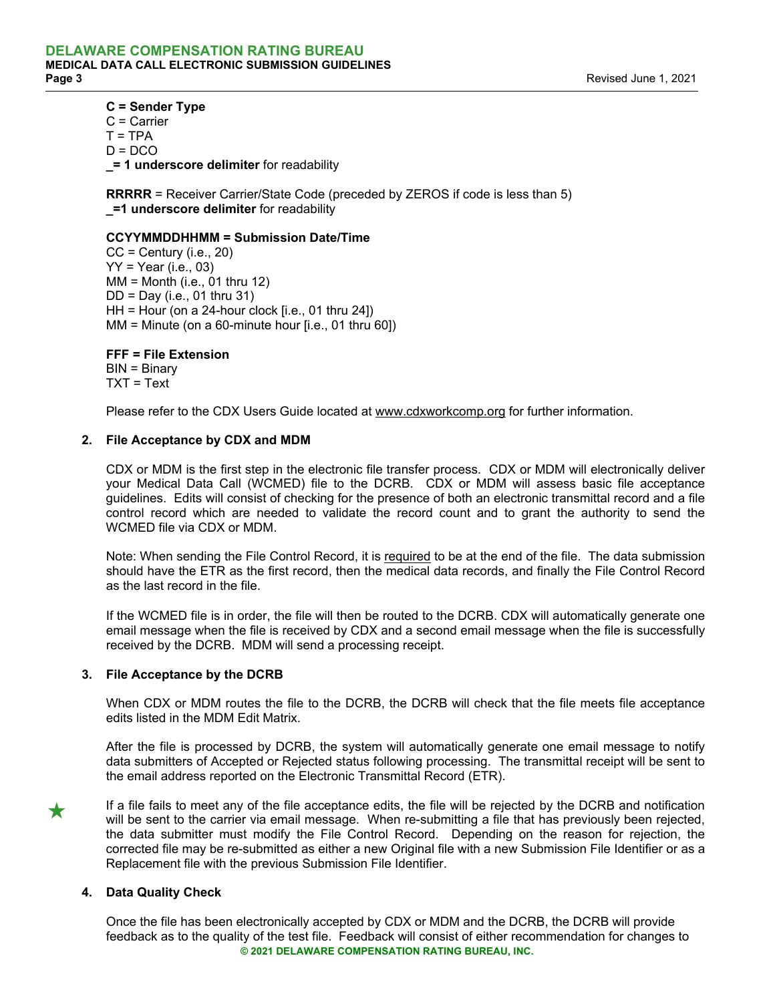#### **C = Sender Type**

C = Carrier  $T = TPA$  $D = DCO$ **\_= 1 underscore delimiter** for readability

**RRRRR** = Receiver Carrier/State Code (preceded by ZEROS if code is less than 5) **\_=1 underscore delimiter** for readability

#### **CCYYMMDDHHMM = Submission Date/Time**

 $CC =$  Century (i.e., 20)  $YY = Year (i.e., 03)$  $MM = M$ onth (i.e., 01 thru 12)  $DD = Day (i.e., 01$  thru 31) HH = Hour (on a 24-hour clock [i.e., 01 thru 24]) MM = Minute (on a 60-minute hour [i.e., 01 thru 60])

**FFF = File Extension** 

BIN = Binary  $TXT = Text$ 

Please refer to the CDX Users Guide located at www.cdxworkcomp.org for further information.

# **2. File Acceptance by CDX and MDM**

 CDX or MDM is the first step in the electronic file transfer process. CDX or MDM will electronically deliver your Medical Data Call (WCMED) file to the DCRB. CDX or MDM will assess basic file acceptance guidelines. Edits will consist of checking for the presence of both an electronic transmittal record and a file control record which are needed to validate the record count and to grant the authority to send the WCMED file via CDX or MDM.

Note: When sending the File Control Record, it is required to be at the end of the file. The data submission should have the ETR as the first record, then the medical data records, and finally the File Control Record as the last record in the file.

 If the WCMED file is in order, the file will then be routed to the DCRB. CDX will automatically generate one email message when the file is received by CDX and a second email message when the file is successfully received by the DCRB. MDM will send a processing receipt.

# **3. File Acceptance by the DCRB**

 When CDX or MDM routes the file to the DCRB, the DCRB will check that the file meets file acceptance edits listed in the MDM Edit Matrix.

 After the file is processed by DCRB, the system will automatically generate one email message to notify data submitters of Accepted or Rejected status following processing. The transmittal receipt will be sent to the email address reported on the Electronic Transmittal Record (ETR).

**★** If a file fails to meet any of the file acceptance edits, the file will be rejected by the DCRB and notification will be sent to the carrier via email message. When re-submitting a file that has previously been reject the data submitter must modify the File Control Record. Depending on the reason for rejection, the corrected file may be re-submitted as either a new Original file with a new Submission File Identifier or as a Replacement file with the previous Submission File Identifier.

# **4. Data Quality Check**

**© 2021 DELAWARE COMPENSATION RATING BUREAU, INC.** Once the file has been electronically accepted by CDX or MDM and the DCRB, the DCRB will provide feedback as to the quality of the test file. Feedback will consist of either recommendation for changes to